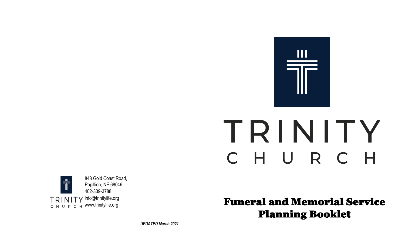

# TRINITY CHURCH



Funeral and Memorial Service Planning Booklet

*UPDATED March 2021*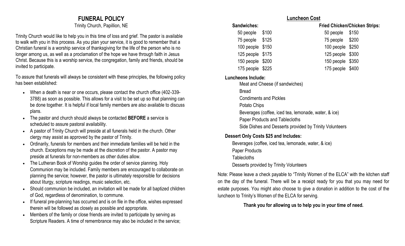# **FUNERAL POLICY**

Trinity Church, Papillion, NE

Trinity Church would like to help you in this time of loss and grief. The pastor is available to walk with you in this process. As you plan your service, it is good to remember that a Christian funeral is a worship service of thanksgiving for the life of the person who is no longer among us, as well as a proclamation of the hope we have through faith in Jesus Christ. Because this is a worship service, the congregation, family and friends, should be invited to participate.

To assure that funerals will always be consistent with these principles, the following policy has been established:

- When a death is near or one occurs, please contact the church office (402-339- 3788) as soon as possible. This allows for a visit to be set up so that planning can be done together. It is helpful if local family members are also available to discuss plans.
- The pastor and church should always be contacted **BEFORE** a service is scheduled to assure pastoral availability.
- A pastor of Trinity Church will preside at all funerals held in the church. Other clergy may assist as approved by the pastor of Trinity.
- Ordinarily, funerals for members and their immediate families will be held in the church. Exceptions may be made at the discretion of the pastor. A pastor may preside at funerals for non-members as other duties allow.
- The Lutheran Book of Worship guides the order of service planning. Holy Communion may be included. Family members are encouraged to collaborate on planning the service; however, the pastor is ultimately responsible for decisions about liturgy, scripture readings, music selection, etc.
- Should communion be included, an invitation will be made for all baptized children of God, regardless of denomination, to commune.
- If funeral pre-planning has occurred and is on file in the office, wishes expressed therein will be followed as closely as possible and appropriate.
- Members of the family or close friends are invited to participate by serving as Scripture Readers. A time of remembrance may also be included in the service;

#### **Luncheon Cost**

- **Sandwiches: Fried Chicken/Chicken Strips:**
	- 50 people \$100 50 people \$150
	- 75 people \$125 75 people \$200
	- 100 people \$150 100 people \$250
	- 125 people \$175 125 people \$300
	- 150 people \$200 150 people \$350
	- 175 people \$225 175 people \$400

### **Luncheons Include:**

Meat and Cheese (if sandwiches)

Bread

- Condiments and Pickles
- Potato Chips
- Beverages (coffee, iced tea, lemonade, water, & ice)
- Paper Products and Tablecloths
- Side Dishes and Desserts provided by Trinity Volunteers

## **Dessert Only Costs \$25 and Includes:**

Beverages (coffee, iced tea, lemonade, water, & ice) Paper Products **Tablecloths** Desserts provided by Trinity Volunteers

Note: Please leave a check payable to "Trinity Women of the ELCA" with the kitchen staff on the day of the funeral. There will be a receipt ready for you that you may need for estate purposes. You might also choose to give a donation in addition to the cost of the luncheon to Trinity's Women of the ELCA for serving.

## **Thank you for allowing us to help you in your time of need.**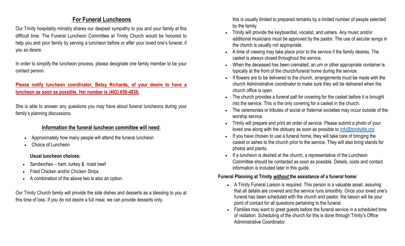# **For Funeral Luncheons**

Our Trinity hospitality ministry shares our deepest sympathy to you and your family at this difficult time. The Funeral Luncheon Committee at Trinity Church would be honored to help you and your family by serving a luncheon before or after your loved one's funeral, if you so desire.

In order to simplify the luncheon process, please designate one family member to be your contact person.

# **Please notify luncheon coordinator, Betsy Richards, of your desire to have a luncheon as soon as possible. Her number is (402) 658-4836.**

She is able to answer any questions you may have about funeral luncheons during your family's planning discussions.

# **Information the funeral luncheon committee will need:**

- Approximately how many people will attend the funeral luncheon
- Choice of Luncheon

## **Usual luncheon choices:**

- Sandwiches ham, turkey & roast beef
- Fried Chicken and/or Chicken Strips
- A combination of the above two is also an option.

Our Trinity Church family will provide the side dishes and desserts as a blessing to you at this time of loss. If you do not desire a full meal, we can provide desserts only.

this is usually limited to prepared remarks by a limited number of people selected by the family.

- Trinity will provide the keyboardist, vocalist, and ushers. Any music and/or additional musicians must be approved by the pastor. The use of secular songs in the church is usually not appropriate.
- A time of viewing may take place prior to the service if the family desires. The casket is always closed throughout the service.
- When the deceased has been cremated, an urn or other appropriate container is typically at the front of the church/funeral home during the service.
- If flowers are to be delivered to the church, arrangements must be made with the church Administrative coordinator to make sure they will be delivered when the church office is open.
- The church provides a funeral pall for covering for the casket before it is brought into the service. This is the only covering for a casket in the church.
- The ceremonies or tributes of social or fraternal societies may occur outside of the worship service.
- Trinity will prepare and print an order of service. Please submit a photo of your loved one along with the obituary as soon as possible to [info@trinitylife.org](mailto:info@trinitylife.org)
- If you have chosen to use a funeral home, they will take care of bringing the casket or ashes to the church prior to the service. They will also bring stands for photos and plants.
- If a luncheon is desired at the church, a representative of the Luncheon Committee should be contacted as soon as possible. Details, costs and contact information is included later in this guide.

## **Funeral Planning at Trinity** *without* **the assistance of a funeral home:**

- A Trinity Funeral Liaison is required. This person is a valuable asset, assuring that all details are covered and the service runs smoothly. Once your loved one's funeral has been scheduled with the church and pastor, the liaison will be your point of contact for all questions pertaining to the funeral.
- Families may want to greet guests before the funeral service in a scheduled time of visitation. Scheduling of the church for this is done through Trinity's Office Administrative Coordinator.